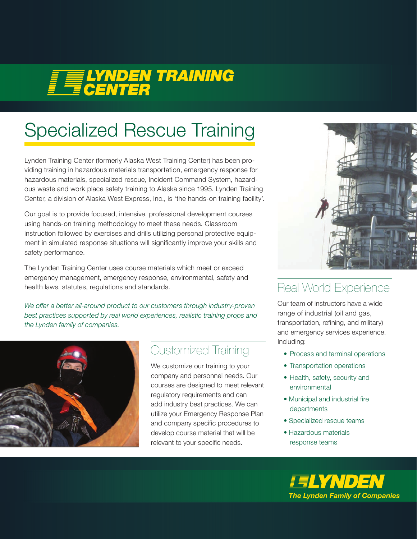# **FELYNDEN TRAINING**

## Specialized Rescue Training

Lynden Training Center (formerly Alaska West Training Center) has been providing training in hazardous materials transportation, emergency response for hazardous materials, specialized rescue, Incident Command System, hazardous waste and work place safety training to Alaska since 1995. Lynden Training Center, a division of Alaska West Express, Inc., is 'the hands-on training facility'.

Our goal is to provide focused, intensive, professional development courses using hands-on training methodology to meet these needs. Classroom instruction followed by exercises and drills utilizing personal protective equipment in simulated response situations will significantly improve your skills and safety performance.

The Lynden Training Center uses course materials which meet or exceed emergency management, emergency response, environmental, safety and health laws, statutes, regulations and standards.

We offer a better all-around product to our customers through industry-proven *best practices supported by real world experiences, realistic training props and the Lynden family of companies.*



#### Customized Training

We customize our training to your company and personnel needs. Our courses are designed to meet relevant regulatory requirements and can add industry best practices. We can utilize your Emergency Response Plan and company specific procedures to develop course material that will be relevant to your specific needs.



#### Real World Experience

Our team of instructors have a wide range of industrial (oil and gas, transportation, refining, and military) and emergency services experience. Including:

- Process and terminal operations
- Transportation operations
- Health, safety, security and environmental
- Municipal and industrial fire departments
- Specialized rescue teams
- Hazardous materials response teams